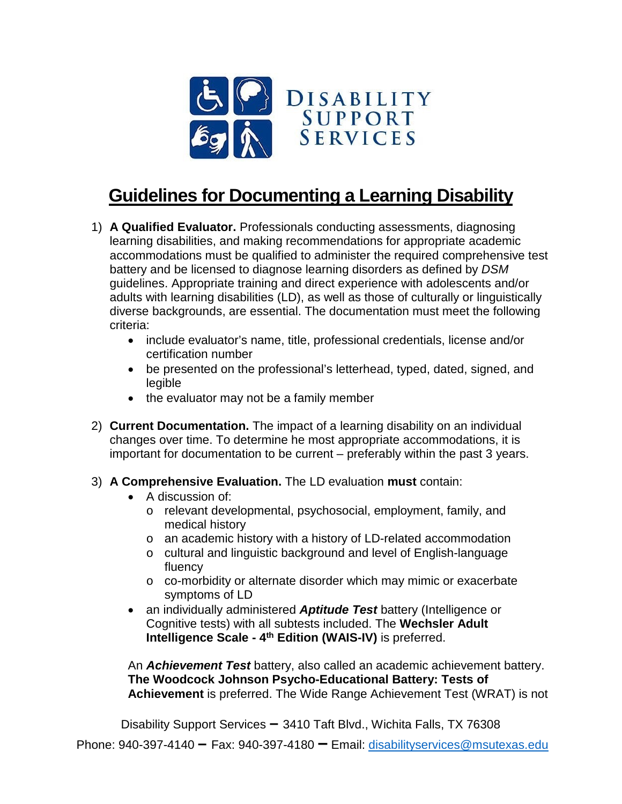

## **Guidelines for Documenting a Learning Disability**

- 1) **A Qualified Evaluator.** Professionals conducting assessments, diagnosing learning disabilities, and making recommendations for appropriate academic accommodations must be qualified to administer the required comprehensive test battery and be licensed to diagnose learning disorders as defined by *DSM*  guidelines. Appropriate training and direct experience with adolescents and/or adults with learning disabilities (LD), as well as those of culturally or linguistically diverse backgrounds, are essential. The documentation must meet the following criteria:
	- include evaluator's name, title, professional credentials, license and/or certification number
	- be presented on the professional's letterhead, typed, dated, signed, and legible
	- the evaluator may not be a family member
- 2) **Current Documentation.** The impact of a learning disability on an individual changes over time. To determine he most appropriate accommodations, it is important for documentation to be current – preferably within the past 3 years.
- 3) **A Comprehensive Evaluation.** The LD evaluation **must** contain:
	- A discussion of:
		- o relevant developmental, psychosocial, employment, family, and medical history
		- o an academic history with a history of LD-related accommodation
		- o cultural and linguistic background and level of English-language fluency
		- o co-morbidity or alternate disorder which may mimic or exacerbate symptoms of LD
	- an individually administered *Aptitude Test* battery (Intelligence or Cognitive tests) with all subtests included. The **Wechsler Adult Intelligence Scale - 4th Edition (WAIS-IV)** is preferred.

An *Achievement Test* battery, also called an academic achievement battery. **The Woodcock Johnson Psycho-Educational Battery: Tests of Achievement** is preferred. The Wide Range Achievement Test (WRAT) is not

Disability Support Services **–** 3410 Taft Blvd., Wichita Falls, TX 76308

Phone: 940-397-4140 **–** Fax: 940-397-4180 **–** Email: [disabilityservices@msutexas.edu](mailto:disabilityservices@msutexas.edu)